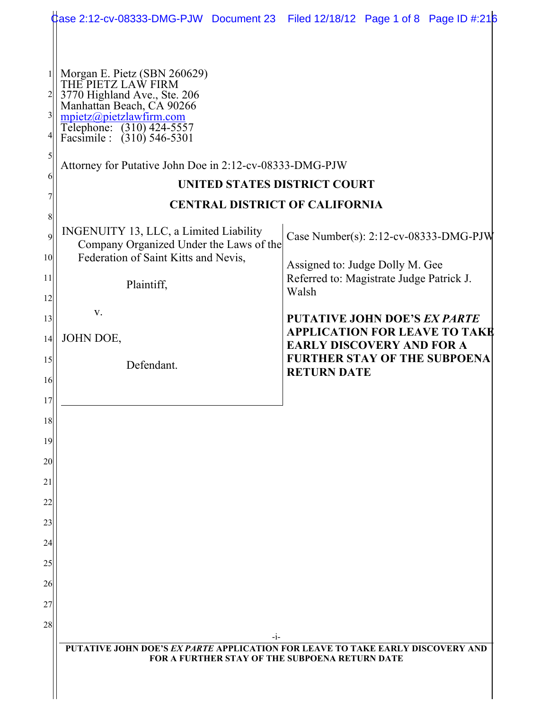|                                                     | Case 2:12-cv-08333-DMG-PJW Document 23 Filed 12/18/12 Page 1 of 8 Page ID #:216                                                                                                                                                                                                                                                                                                        |                                                                                               |
|-----------------------------------------------------|----------------------------------------------------------------------------------------------------------------------------------------------------------------------------------------------------------------------------------------------------------------------------------------------------------------------------------------------------------------------------------------|-----------------------------------------------------------------------------------------------|
| $\frac{1}{2}$<br>$\overline{3}$<br>5<br>6<br>8<br>9 | Morgan E. Pietz (SBN 260629)<br>THE PIETZ LAW FIRM<br>3770 Highland Ave., Ste. 206<br>Manhattan Beach, CA 90266<br>$mpietz$ @pietzlawfirm.com<br>Telephone: (310) 424-5557<br>Facsimile : (310) 546-5301<br>Attorney for Putative John Doe in 2:12-cv-08333-DMG-PJW<br>UNITED STATES DISTRICT COURT<br><b>CENTRAL DISTRICT OF CALIFORNIA</b><br>INGENUITY 13, LLC, a Limited Liability | Case Number(s): 2:12-cv-08333-DMG-PJW                                                         |
| 10 <sup>1</sup>                                     | Company Organized Under the Laws of the<br>Federation of Saint Kitts and Nevis,                                                                                                                                                                                                                                                                                                        | Assigned to: Judge Dolly M. Gee                                                               |
| 11<br>12                                            | Plaintiff,                                                                                                                                                                                                                                                                                                                                                                             | Referred to: Magistrate Judge Patrick J.<br>Walsh                                             |
| 13<br>14                                            | V.<br>JOHN DOE,                                                                                                                                                                                                                                                                                                                                                                        | <b>PUTATIVE JOHN DOE'S EX PARTE</b><br><b>APPLICATION FOR LEAVE TO TAKE</b>                   |
| 15<br>16                                            | Defendant.                                                                                                                                                                                                                                                                                                                                                                             | <b>EARLY DISCOVERY AND FOR A</b><br><b>FURTHER STAY OF THE SUBPOENA</b><br><b>RETURN DATE</b> |
| 17<br>18                                            |                                                                                                                                                                                                                                                                                                                                                                                        |                                                                                               |
| 19                                                  |                                                                                                                                                                                                                                                                                                                                                                                        |                                                                                               |
| 20                                                  |                                                                                                                                                                                                                                                                                                                                                                                        |                                                                                               |
| 21                                                  |                                                                                                                                                                                                                                                                                                                                                                                        |                                                                                               |
| 22<br>23                                            |                                                                                                                                                                                                                                                                                                                                                                                        |                                                                                               |
| 24                                                  |                                                                                                                                                                                                                                                                                                                                                                                        |                                                                                               |
| 25                                                  |                                                                                                                                                                                                                                                                                                                                                                                        |                                                                                               |
| 26                                                  |                                                                                                                                                                                                                                                                                                                                                                                        |                                                                                               |
| 27                                                  |                                                                                                                                                                                                                                                                                                                                                                                        |                                                                                               |
| 28                                                  | -1-                                                                                                                                                                                                                                                                                                                                                                                    |                                                                                               |
|                                                     | PUTATIVE JOHN DOE'S EX PARTE APPLICATION FOR LEAVE TO TAKE EARLY DISCOVERY AND<br><b>FOR A FURTHER STAY OF THE SUBPOENA RETURN DATE</b>                                                                                                                                                                                                                                                |                                                                                               |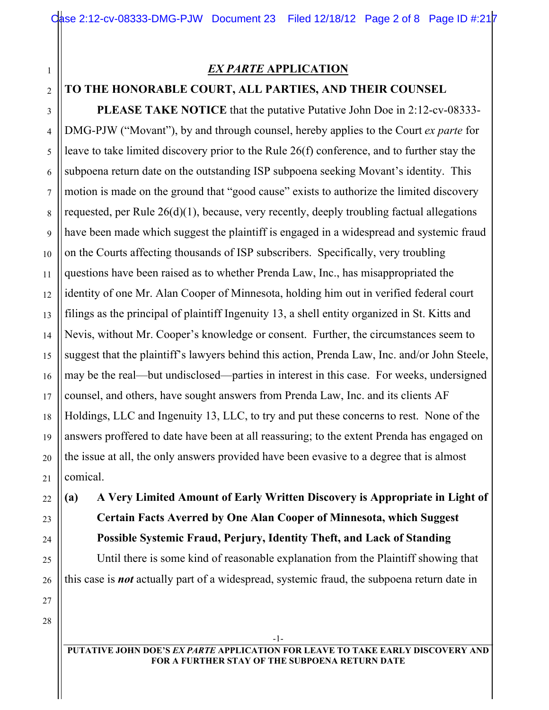## *EX PARTE* **APPLICATION**

## **TO THE HONORABLE COURT, ALL PARTIES, AND THEIR COUNSEL**

**PLEASE TAKE NOTICE** that the putative Putative John Doe in 2:12-cv-08333- DMG-PJW ("Movant"), by and through counsel, hereby applies to the Court *ex parte* for leave to take limited discovery prior to the Rule 26(f) conference, and to further stay the subpoena return date on the outstanding ISP subpoena seeking Movant's identity. This motion is made on the ground that "good cause" exists to authorize the limited discovery requested, per Rule 26(d)(1), because, very recently, deeply troubling factual allegations have been made which suggest the plaintiff is engaged in a widespread and systemic fraud on the Courts affecting thousands of ISP subscribers. Specifically, very troubling questions have been raised as to whether Prenda Law, Inc., has misappropriated the identity of one Mr. Alan Cooper of Minnesota, holding him out in verified federal court filings as the principal of plaintiff Ingenuity 13, a shell entity organized in St. Kitts and Nevis, without Mr. Cooper's knowledge or consent. Further, the circumstances seem to suggest that the plaintiff's lawyers behind this action, Prenda Law, Inc. and/or John Steele, may be the real—but undisclosed—parties in interest in this case. For weeks, undersigned counsel, and others, have sought answers from Prenda Law, Inc. and its clients AF Holdings, LLC and Ingenuity 13, LLC, to try and put these concerns to rest. None of the answers proffered to date have been at all reassuring; to the extent Prenda has engaged on the issue at all, the only answers provided have been evasive to a degree that is almost comical.

**(a) A Very Limited Amount of Early Written Discovery is Appropriate in Light of Certain Facts Averred by One Alan Cooper of Minnesota, which Suggest Possible Systemic Fraud, Perjury, Identity Theft, and Lack of Standing** Until there is some kind of reasonable explanation from the Plaintiff showing that this case is *not* actually part of a widespread, systemic fraud, the subpoena return date in

28

1

2

3

4

5

6

7

8

9

10

11

12

13

14

15

16

17

18

19

20

21

22

23

24

25

26

27

-1- **PUTATIVE JOHN DOE'S** *EX PARTE* **APPLICATION FOR LEAVE TO TAKE EARLY DISCOVERY AND FOR A FURTHER STAY OF THE SUBPOENA RETURN DATE**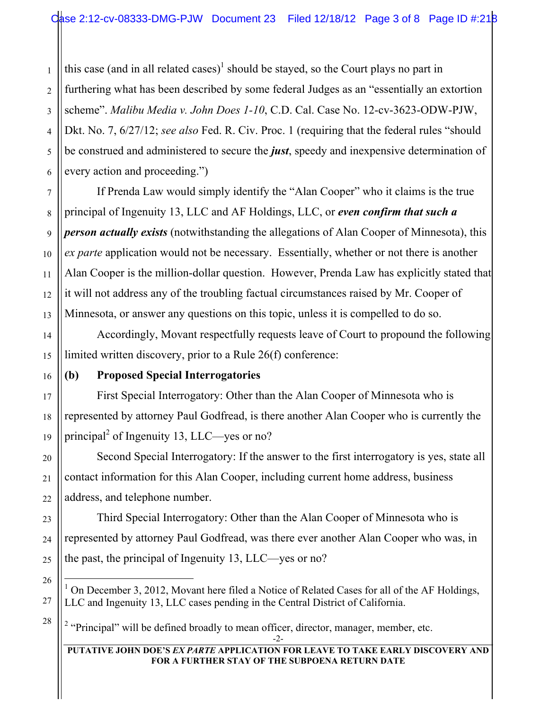2 3 4 5 this case (and in all related cases)<sup>1</sup> should be stayed, so the Court plays no part in furthering what has been described by some federal Judges as an "essentially an extortion scheme". *Malibu Media v. John Does 1-10*, C.D. Cal. Case No. 12-cv-3623-ODW-PJW, Dkt. No. 7, 6/27/12; *see also* Fed. R. Civ. Proc. 1 (requiring that the federal rules "should be construed and administered to secure the *just*, speedy and inexpensive determination of every action and proceeding.")

If Prenda Law would simply identify the "Alan Cooper" who it claims is the true principal of Ingenuity 13, LLC and AF Holdings, LLC, or *even confirm that such a person actually exists* (notwithstanding the allegations of Alan Cooper of Minnesota), this *ex parte* application would not be necessary. Essentially, whether or not there is another Alan Cooper is the million-dollar question. However, Prenda Law has explicitly stated that it will not address any of the troubling factual circumstances raised by Mr. Cooper of Minnesota, or answer any questions on this topic, unless it is compelled to do so.

Accordingly, Movant respectfully requests leave of Court to propound the following limited written discovery, prior to a Rule 26(f) conference:

## **(b) Proposed Special Interrogatories**

First Special Interrogatory: Other than the Alan Cooper of Minnesota who is represented by attorney Paul Godfread, is there another Alan Cooper who is currently the principal<sup>2</sup> of Ingenuity 13, LLC—yes or no?

Second Special Interrogatory: If the answer to the first interrogatory is yes, state all contact information for this Alan Cooper, including current home address, business address, and telephone number.

Third Special Interrogatory: Other than the Alan Cooper of Minnesota who is represented by attorney Paul Godfread, was there ever another Alan Cooper who was, in the past, the principal of Ingenuity 13, LLC—yes or no?

<sup>2</sup> "Principal" will be defined broadly to mean officer, director, manager, member, etc.

#### **PUTATIVE JOHN DOE'S** *EX PARTE* **APPLICATION FOR LEAVE TO TAKE EARLY DISCOVERY AND FOR A FURTHER STAY OF THE SUBPOENA RETURN DATE**

1

 $\frac{1}{1}$ On December 3, 2012, Movant here filed a Notice of Related Cases for all of the AF Holdings, LLC and Ingenuity 13, LLC cases pending in the Central District of California.

<sup>-2-</sup>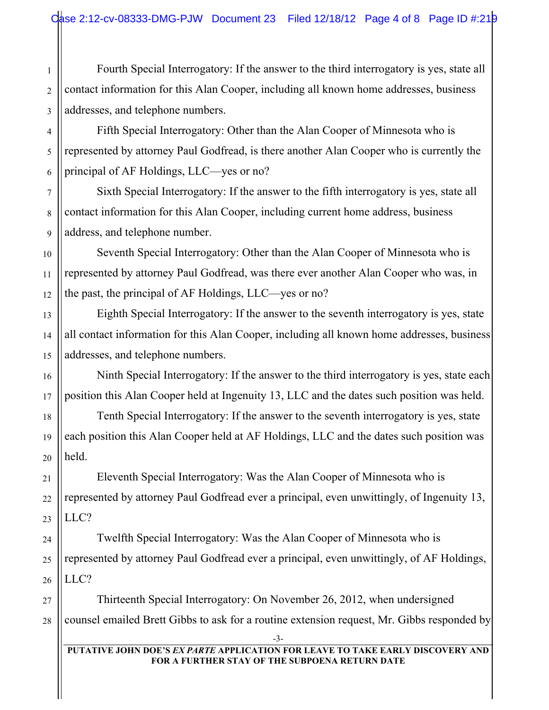Fourth Special Interrogatory: If the answer to the third interrogatory is yes, state all contact information for this Alan Cooper, including all known home addresses, business addresses, and telephone numbers.

Fifth Special Interrogatory: Other than the Alan Cooper of Minnesota who is represented by attorney Paul Godfread, is there another Alan Cooper who is currently the principal of AF Holdings, LLC—yes or no?

Sixth Special Interrogatory: If the answer to the fifth interrogatory is yes, state all contact information for this Alan Cooper, including current home address, business address, and telephone number.

Seventh Special Interrogatory: Other than the Alan Cooper of Minnesota who is represented by attorney Paul Godfread, was there ever another Alan Cooper who was, in the past, the principal of AF Holdings, LLC—yes or no?

Eighth Special Interrogatory: If the answer to the seventh interrogatory is yes, state all contact information for this Alan Cooper, including all known home addresses, business addresses, and telephone numbers.

Ninth Special Interrogatory: If the answer to the third interrogatory is yes, state each position this Alan Cooper held at Ingenuity 13, LLC and the dates such position was held.

Tenth Special Interrogatory: If the answer to the seventh interrogatory is yes, state each position this Alan Cooper held at AF Holdings, LLC and the dates such position was held.

Eleventh Special Interrogatory: Was the Alan Cooper of Minnesota who is represented by attorney Paul Godfread ever a principal, even unwittingly, of Ingenuity 13, LLC?

Twelfth Special Interrogatory: Was the Alan Cooper of Minnesota who is represented by attorney Paul Godfread ever a principal, even unwittingly, of AF Holdings, LLC?

Thirteenth Special Interrogatory: On November 26, 2012, when undersigned counsel emailed Brett Gibbs to ask for a routine extension request, Mr. Gibbs responded by

1

2

3

4

5

6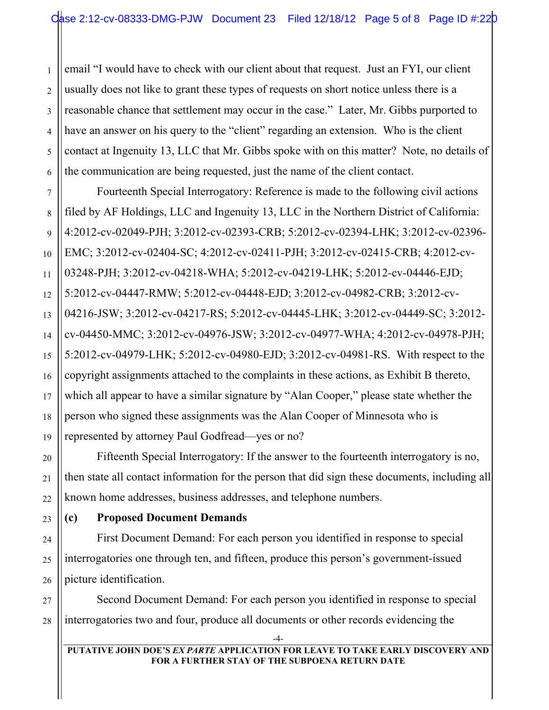email "I would have to check with our client about that request. Just an FYI, our client usually does not like to grant these types of requests on short notice unless there is a reasonable chance that settlement may occur in the case." Later, Mr. Gibbs purported to have an answer on his query to the "client" regarding an extension. Who is the client contact at Ingenuity 13, LLC that Mr. Gibbs spoke with on this matter? Note, no details of the communication are being requested, just the name of the client contact.

Fourteenth Special Interrogatory: Reference is made to the following civil actions filed by AF Holdings, LLC and Ingenuity 13, LLC in the Northern District of California: 4:2012-cv-02049-PJH; 3:2012-cv-02393-CRB; 5:2012-cv-02394-LHK; 3:2012-cv-02396- EMC; 3:2012-cv-02404-SC; 4:2012-cv-02411-PJH; 3:2012-cv-02415-CRB; 4:2012-cv-03248-PJH; 3:2012-cv-04218-WHA; 5:2012-cv-04219-LHK; 5:2012-cv-04446-EJD; 5:2012-cv-04447-RMW; 5:2012-cv-04448-EJD; 3:2012-cv-04982-CRB; 3:2012-cv-04216-JSW; 3:2012-cv-04217-RS; 5:2012-cv-04445-LHK; 3:2012-cv-04449-SC; 3:2012 cv-04450-MMC; 3:2012-cv-04976-JSW; 3:2012-cv-04977-WHA; 4:2012-cv-04978-PJH; 5:2012-cv-04979-LHK; 5:2012-cv-04980-EJD; 3:2012-cv-04981-RS. With respect to the copyright assignments attached to the complaints in these actions, as Exhibit B thereto, which all appear to have a similar signature by "Alan Cooper," please state whether the person who signed these assignments was the Alan Cooper of Minnesota who is represented by attorney Paul Godfread—yes or no?

Fifteenth Special Interrogatory: If the answer to the fourteenth interrogatory is no, then state all contact information for the person that did sign these documents, including all known home addresses, business addresses, and telephone numbers.

# **(c) Proposed Document Demands**

First Document Demand: For each person you identified in response to special interrogatories one through ten, and fifteen, produce this person's government-issued picture identification.

Second Document Demand: For each person you identified in response to special interrogatories two and four, produce all documents or other records evidencing the

1

2

-4-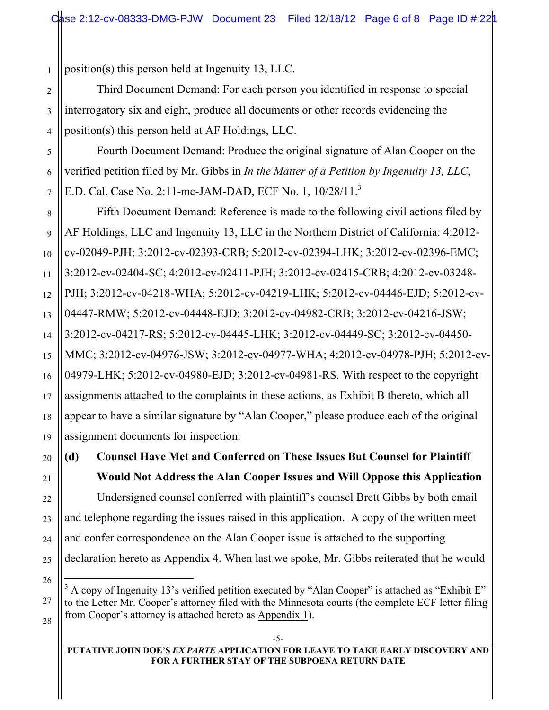1 position(s) this person held at Ingenuity 13, LLC.

Third Document Demand: For each person you identified in response to special interrogatory six and eight, produce all documents or other records evidencing the position(s) this person held at AF Holdings, LLC.

Fourth Document Demand: Produce the original signature of Alan Cooper on the verified petition filed by Mr. Gibbs in *In the Matter of a Petition by Ingenuity 13, LLC*, E.D. Cal. Case No. 2:11-mc-JAM-DAD, ECF No. 1, 10/28/11.<sup>3</sup>

Fifth Document Demand: Reference is made to the following civil actions filed by AF Holdings, LLC and Ingenuity 13, LLC in the Northern District of California: 4:2012 cv-02049-PJH; 3:2012-cv-02393-CRB; 5:2012-cv-02394-LHK; 3:2012-cv-02396-EMC; 3:2012-cv-02404-SC; 4:2012-cv-02411-PJH; 3:2012-cv-02415-CRB; 4:2012-cv-03248- PJH; 3:2012-cv-04218-WHA; 5:2012-cv-04219-LHK; 5:2012-cv-04446-EJD; 5:2012-cv-04447-RMW; 5:2012-cv-04448-EJD; 3:2012-cv-04982-CRB; 3:2012-cv-04216-JSW; 3:2012-cv-04217-RS; 5:2012-cv-04445-LHK; 3:2012-cv-04449-SC; 3:2012-cv-04450- MMC; 3:2012-cv-04976-JSW; 3:2012-cv-04977-WHA; 4:2012-cv-04978-PJH; 5:2012-cv-04979-LHK; 5:2012-cv-04980-EJD; 3:2012-cv-04981-RS. With respect to the copyright assignments attached to the complaints in these actions, as Exhibit B thereto, which all appear to have a similar signature by "Alan Cooper," please produce each of the original assignment documents for inspection.

**(d) Counsel Have Met and Conferred on These Issues But Counsel for Plaintiff Would Not Address the Alan Cooper Issues and Will Oppose this Application** Undersigned counsel conferred with plaintiff's counsel Brett Gibbs by both email and telephone regarding the issues raised in this application. A copy of the written meet and confer correspondence on the Alan Cooper issue is attached to the supporting declaration hereto as Appendix 4. When last we spoke, Mr. Gibbs reiterated that he would

 <sup>3</sup>  $^3$  A copy of Ingenuity 13's verified petition executed by "Alan Cooper" is attached as "Exhibit E" to the Letter Mr. Cooper's attorney filed with the Minnesota courts (the complete ECF letter filing from Cooper's attorney is attached hereto as Appendix 1).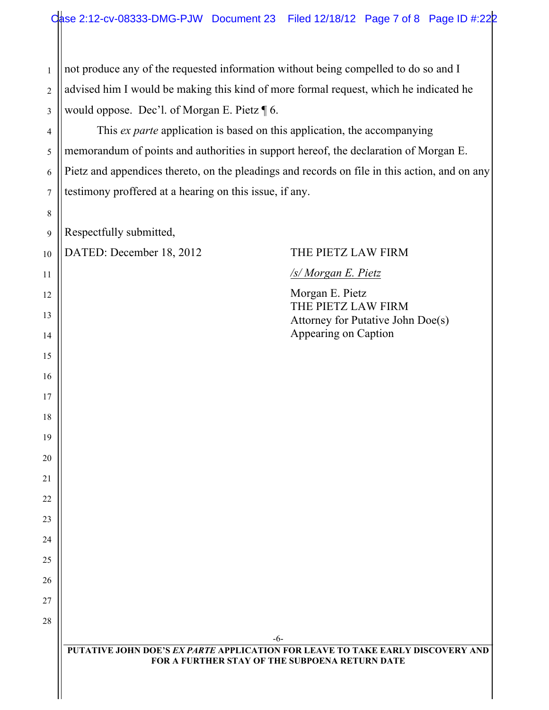not produce any of the requested information without being compelled to do so and I advised him I would be making this kind of more formal request, which he indicated he would oppose. Dec'l. of Morgan E. Pietz ¶ 6.

This *ex parte* application is based on this application, the accompanying memorandum of points and authorities in support hereof, the declaration of Morgan E. Pietz and appendices thereto, on the pleadings and records on file in this action, and on any testimony proffered at a hearing on this issue, if any.

Respectfully submitted,

DATED: December 18, 2012 THE PIETZ LAW FIRM

### */s/ Morgan E. Pietz*

Morgan E. Pietz THE PIETZ LAW FIRM Attorney for Putative John Doe(s) Appearing on Caption